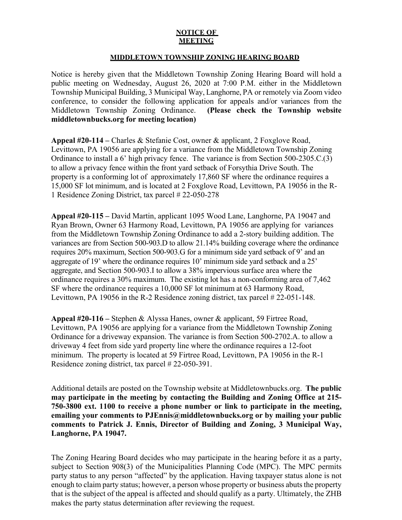## **NOTICE OF MEETING**

## **MIDDLETOWN TOWNSHIP ZONING HEARING BOARD**

Notice is hereby given that the Middletown Township Zoning Hearing Board will hold a public meeting on Wednesday, August 26, 2020 at 7:00 P.M. either in the Middletown Township Municipal Building, 3 Municipal Way, Langhorne, PA or remotely via Zoom video conference, to consider the following application for appeals and/or variances from the Middletown Township Zoning Ordinance. **(Please check the Township website middletownbucks.org for meeting location)** 

**Appeal #20-114 –** Charles & Stefanie Cost, owner & applicant, 2 Foxglove Road, Levittown, PA 19056 are applying for a variance from the Middletown Township Zoning Ordinance to install a 6' high privacy fence. The variance is from Section 500-2305.C.(3) to allow a privacy fence within the front yard setback of Forsythia Drive South. The property is a conforming lot of approximately 17,860 SF where the ordinance requires a 15,000 SF lot minimum, and is located at 2 Foxglove Road, Levittown, PA 19056 in the R-1 Residence Zoning District, tax parcel # 22-050-278

**Appeal #20-115 –** David Martin, applicant 1095 Wood Lane, Langhorne, PA 19047 and Ryan Brown, Owner 63 Harmony Road, Levittown, PA 19056 are applying for variances from the Middletown Township Zoning Ordinance to add a 2-story building addition. The variances are from Section 500-903.D to allow 21.14% building coverage where the ordinance requires 20% maximum, Section 500-903.G for a minimum side yard setback of 9' and an aggregate of 19' where the ordinance requires 10' minimum side yard setback and a 25' aggregate, and Section 500-903.I to allow a 38% impervious surface area where the ordinance requires a 30% maximum. The existing lot has a non-conforming area of 7,462 SF where the ordinance requires a 10,000 SF lot minimum at 63 Harmony Road, Levittown, PA 19056 in the R-2 Residence zoning district, tax parcel # 22-051-148.

**Appeal #20-116 –** Stephen & Alyssa Hanes, owner & applicant, 59 Firtree Road, Levittown, PA 19056 are applying for a variance from the Middletown Township Zoning Ordinance for a driveway expansion. The variance is from Section 500-2702.A. to allow a driveway 4 feet from side yard property line where the ordinance requires a 12-foot minimum. The property is located at 59 Firtree Road, Levittown, PA 19056 in the R-1 Residence zoning district, tax parcel # 22-050-391.

Additional details are posted on the Township website at Middletownbucks.org. **The public may participate in the meeting by contacting the Building and Zoning Office at 215- 750-3800 ext. 1100 to receive a phone number or link to participate in the meeting, emailing your comments to PJEnnis@middletownbucks.org or by mailing your public comments to Patrick J. Ennis, Director of Building and Zoning, 3 Municipal Way, Langhorne, PA 19047.** 

The Zoning Hearing Board decides who may participate in the hearing before it as a party, subject to Section 908(3) of the Municipalities Planning Code (MPC). The MPC permits party status to any person "affected" by the application. Having taxpayer status alone is not enough to claim party status; however, a person whose property or business abuts the property that is the subject of the appeal is affected and should qualify as a party. Ultimately, the ZHB makes the party status determination after reviewing the request.